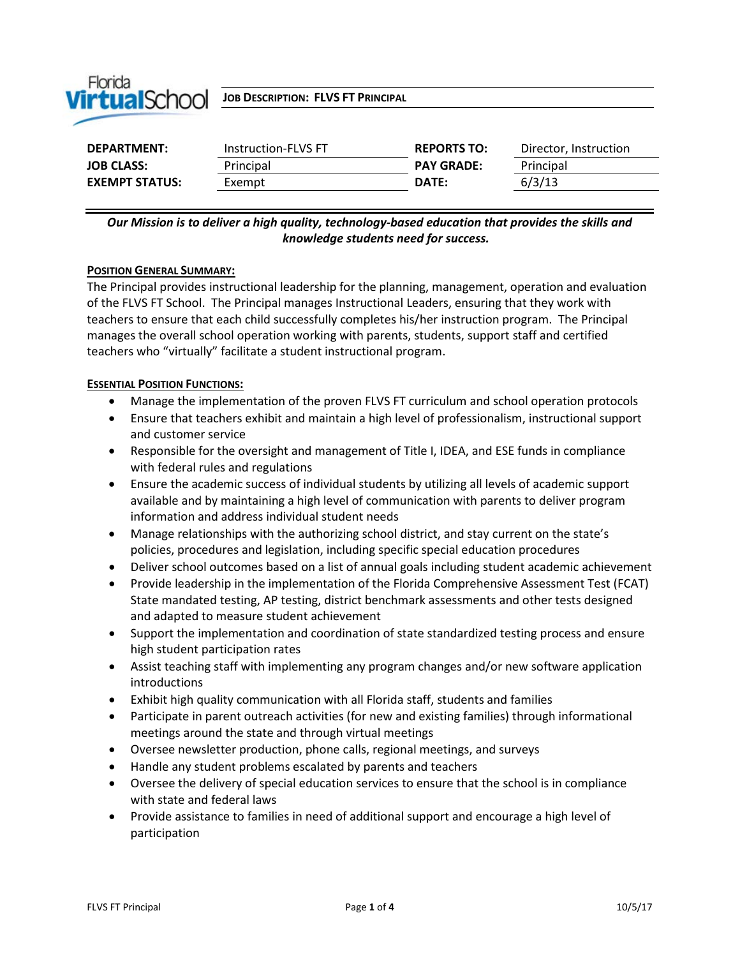

*I***IP tualSchool JOB DESCRIPTION: FLVS FT PRINCIPAL** 

| <b>DEPARTMENT:</b>    | Instruction-FLVS FT | <b>REPORTS TO:</b> | Director, Instruction |
|-----------------------|---------------------|--------------------|-----------------------|
| <b>JOB CLASS:</b>     | Principal           | <b>PAY GRADE:</b>  | Principal             |
| <b>EXEMPT STATUS:</b> | Exempt              | DATE:              | 6/3/13                |

*Our Mission is to deliver a high quality, technology-based education that provides the skills and knowledge students need for success.*

#### **POSITION GENERAL SUMMARY:**

The Principal provides instructional leadership for the planning, management, operation and evaluation of the FLVS FT School. The Principal manages Instructional Leaders, ensuring that they work with teachers to ensure that each child successfully completes his/her instruction program. The Principal manages the overall school operation working with parents, students, support staff and certified teachers who "virtually" facilitate a student instructional program.

#### **ESSENTIAL POSITION FUNCTIONS:**

- Manage the implementation of the proven FLVS FT curriculum and school operation protocols
- Ensure that teachers exhibit and maintain a high level of professionalism, instructional support and customer service
- Responsible for the oversight and management of Title I, IDEA, and ESE funds in compliance with federal rules and regulations
- Ensure the academic success of individual students by utilizing all levels of academic support available and by maintaining a high level of communication with parents to deliver program information and address individual student needs
- Manage relationships with the authorizing school district, and stay current on the state's policies, procedures and legislation, including specific special education procedures
- Deliver school outcomes based on a list of annual goals including student academic achievement
- Provide leadership in the implementation of the Florida Comprehensive Assessment Test (FCAT) State mandated testing, AP testing, district benchmark assessments and other tests designed and adapted to measure student achievement
- Support the implementation and coordination of state standardized testing process and ensure high student participation rates
- Assist teaching staff with implementing any program changes and/or new software application introductions
- Exhibit high quality communication with all Florida staff, students and families
- Participate in parent outreach activities (for new and existing families) through informational meetings around the state and through virtual meetings
- Oversee newsletter production, phone calls, regional meetings, and surveys
- Handle any student problems escalated by parents and teachers
- Oversee the delivery of special education services to ensure that the school is in compliance with state and federal laws
- Provide assistance to families in need of additional support and encourage a high level of participation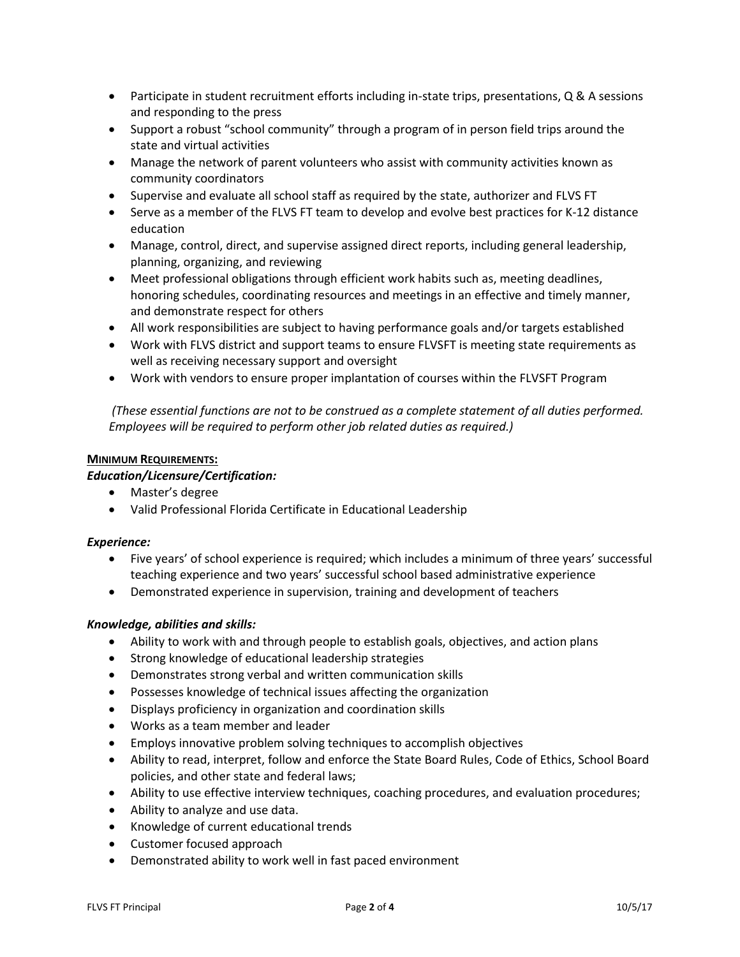- Participate in student recruitment efforts including in-state trips, presentations, Q & A sessions and responding to the press
- Support a robust "school community" through a program of in person field trips around the state and virtual activities
- Manage the network of parent volunteers who assist with community activities known as community coordinators
- Supervise and evaluate all school staff as required by the state, authorizer and FLVS FT
- Serve as a member of the FLVS FT team to develop and evolve best practices for K-12 distance education
- Manage, control, direct, and supervise assigned direct reports, including general leadership, planning, organizing, and reviewing
- Meet professional obligations through efficient work habits such as, meeting deadlines, honoring schedules, coordinating resources and meetings in an effective and timely manner, and demonstrate respect for others
- All work responsibilities are subject to having performance goals and/or targets established
- Work with FLVS district and support teams to ensure FLVSFT is meeting state requirements as well as receiving necessary support and oversight
- Work with vendors to ensure proper implantation of courses within the FLVSFT Program

*(These essential functions are not to be construed as a complete statement of all duties performed. Employees will be required to perform other job related duties as required.)*

## **MINIMUM REQUIREMENTS:**

*Education/Licensure/Certification:*

- Master's degree
- Valid Professional Florida Certificate in Educational Leadership

### *Experience:*

- Five years' of school experience is required; which includes a minimum of three years' successful teaching experience and two years' successful school based administrative experience
- Demonstrated experience in supervision, training and development of teachers

# *Knowledge, abilities and skills:*

- Ability to work with and through people to establish goals, objectives, and action plans
- Strong knowledge of educational leadership strategies
- Demonstrates strong verbal and written communication skills
- Possesses knowledge of technical issues affecting the organization
- Displays proficiency in organization and coordination skills
- Works as a team member and leader
- Employs innovative problem solving techniques to accomplish objectives
- Ability to read, interpret, follow and enforce the State Board Rules, Code of Ethics, School Board policies, and other state and federal laws;
- Ability to use effective interview techniques, coaching procedures, and evaluation procedures;
- Ability to analyze and use data.
- Knowledge of current educational trends
- Customer focused approach
- Demonstrated ability to work well in fast paced environment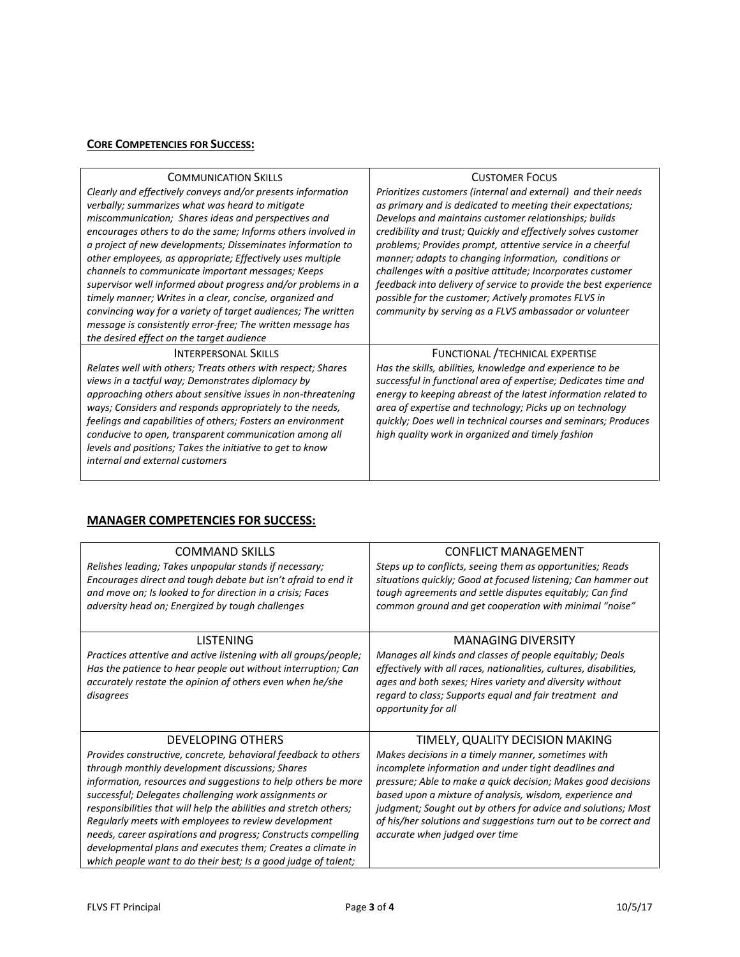## **CORE COMPETENCIES FOR SUCCESS:**

| <b>COMMUNICATION SKILLS</b>                                   | <b>CUSTOMER FOCUS</b>                                            |
|---------------------------------------------------------------|------------------------------------------------------------------|
| Clearly and effectively conveys and/or presents information   | Prioritizes customers (internal and external) and their needs    |
| verbally; summarizes what was heard to mitigate               | as primary and is dedicated to meeting their expectations;       |
| miscommunication; Shares ideas and perspectives and           | Develops and maintains customer relationships; builds            |
| encourages others to do the same; Informs others involved in  | credibility and trust; Quickly and effectively solves customer   |
| a project of new developments; Disseminates information to    | problems; Provides prompt, attentive service in a cheerful       |
| other employees, as appropriate; Effectively uses multiple    | manner; adapts to changing information, conditions or            |
| channels to communicate important messages; Keeps             | challenges with a positive attitude; Incorporates customer       |
| supervisor well informed about progress and/or problems in a  | feedback into delivery of service to provide the best experience |
| timely manner; Writes in a clear, concise, organized and      | possible for the customer; Actively promotes FLVS in             |
| convincing way for a variety of target audiences; The written | community by serving as a FLVS ambassador or volunteer           |
| message is consistently error-free; The written message has   |                                                                  |
| the desired effect on the target audience                     |                                                                  |
| <b>INTERPERSONAL SKILLS</b>                                   | FUNCTIONAL / TECHNICAL EXPERTISE                                 |
| Relates well with others; Treats others with respect; Shares  | Has the skills, abilities, knowledge and experience to be        |
| views in a tactful way; Demonstrates diplomacy by             | successful in functional area of expertise; Dedicates time and   |
| approaching others about sensitive issues in non-threatening  | energy to keeping abreast of the latest information related to   |
| ways; Considers and responds appropriately to the needs,      | area of expertise and technology; Picks up on technology         |
| feelings and capabilities of others; Fosters an environment   | quickly; Does well in technical courses and seminars; Produces   |
| conducive to open, transparent communication among all        | high quality work in organized and timely fashion                |
| levels and positions; Takes the initiative to get to know     |                                                                  |
| internal and external customers                               |                                                                  |
|                                                               |                                                                  |

# **MANAGER COMPETENCIES FOR SUCCESS:**

| <b>COMMAND SKILLS</b><br>Relishes leading; Takes unpopular stands if necessary;<br>Encourages direct and tough debate but isn't afraid to end it<br>and move on; Is looked to for direction in a crisis; Faces<br>adversity head on; Energized by tough challenges                                                                                                                                                                                                                                                                                                                                     | <b>CONFLICT MANAGEMENT</b><br>Steps up to conflicts, seeing them as opportunities; Reads<br>situations quickly; Good at focused listening; Can hammer out<br>tough agreements and settle disputes equitably; Can find<br>common ground and get cooperation with minimal "noise"                                                                                                                                                                  |
|--------------------------------------------------------------------------------------------------------------------------------------------------------------------------------------------------------------------------------------------------------------------------------------------------------------------------------------------------------------------------------------------------------------------------------------------------------------------------------------------------------------------------------------------------------------------------------------------------------|--------------------------------------------------------------------------------------------------------------------------------------------------------------------------------------------------------------------------------------------------------------------------------------------------------------------------------------------------------------------------------------------------------------------------------------------------|
| <b>LISTENING</b><br>Practices attentive and active listening with all groups/people;<br>Has the patience to hear people out without interruption; Can<br>accurately restate the opinion of others even when he/she<br>disagrees                                                                                                                                                                                                                                                                                                                                                                        | <b>MANAGING DIVERSITY</b><br>Manages all kinds and classes of people equitably; Deals<br>effectively with all races, nationalities, cultures, disabilities,<br>ages and both sexes; Hires variety and diversity without<br>regard to class; Supports equal and fair treatment and<br>opportunity for all                                                                                                                                         |
| <b>DEVELOPING OTHERS</b><br>Provides constructive, concrete, behavioral feedback to others<br>through monthly development discussions; Shares<br>information, resources and suggestions to help others be more<br>successful; Delegates challenging work assignments or<br>responsibilities that will help the abilities and stretch others;<br>Regularly meets with employees to review development<br>needs, career aspirations and progress; Constructs compelling<br>developmental plans and executes them; Creates a climate in<br>which people want to do their best; Is a good judge of talent; | TIMELY, QUALITY DECISION MAKING<br>Makes decisions in a timely manner, sometimes with<br>incomplete information and under tight deadlines and<br>pressure; Able to make a quick decision; Makes good decisions<br>based upon a mixture of analysis, wisdom, experience and<br>judgment; Sought out by others for advice and solutions; Most<br>of his/her solutions and suggestions turn out to be correct and<br>accurate when judged over time |